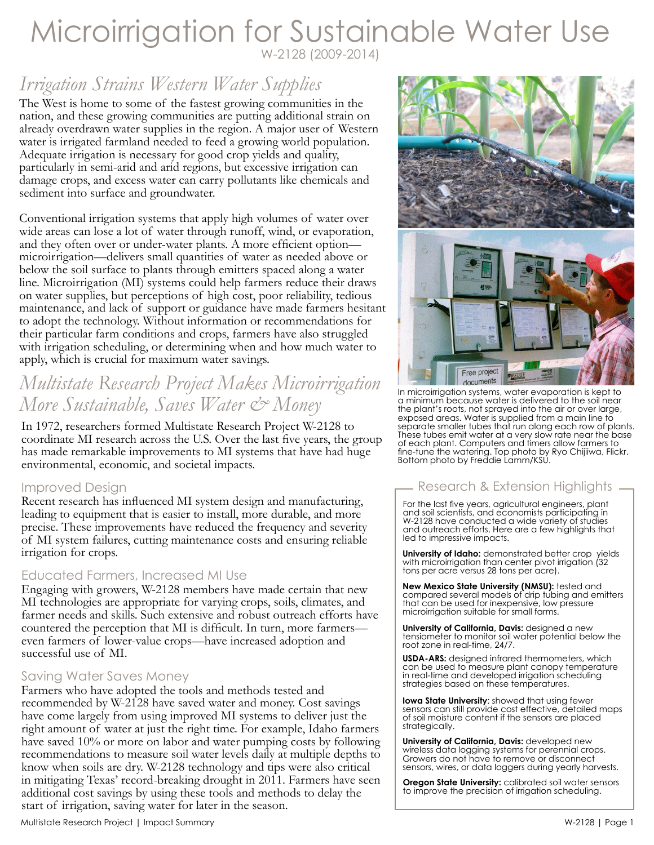## Microirrigation for Sustainable Water Use W-2128 (2009-2014)

# *Irrigation Strains Western Water Supplies*

The West is home to some of the fastest growing communities in the nation, and these growing communities are putting additional strain on already overdrawn water supplies in the region. A major user of Western water is irrigated farmland needed to feed a growing world population. Adequate irrigation is necessary for good crop yields and quality, particularly in semi-arid and arid regions, but excessive irrigation can damage crops, and excess water can carry pollutants like chemicals and sediment into surface and groundwater.

Conventional irrigation systems that apply high volumes of water over wide areas can lose a lot of water through runoff, wind, or evaporation, and they often over or under-water plants. A more efficient option microirrigation—delivers small quantities of water as needed above or below the soil surface to plants through emitters spaced along a water line. Microirrigation (MI) systems could help farmers reduce their draws on water supplies, but perceptions of high cost, poor reliability, tedious maintenance, and lack of support or guidance have made farmers hesitant to adopt the technology. Without information or recommendations for their particular farm conditions and crops, farmers have also struggled with irrigation scheduling, or determining when and how much water to apply, which is crucial for maximum water savings.

## *Multistate Research Project Makes Microirrigation More Sustainable, Saves Water & Money*

In 1972, researchers formed Multistate Research Project W-2128 to coordinate MI research across the U.S. Over the last five years, the group has made remarkable improvements to MI systems that have had huge environmental, economic, and societal impacts.

### Improved Design

Recent research has influenced MI system design and manufacturing, leading to equipment that is easier to install, more durable, and more precise. These improvements have reduced the frequency and severity of MI system failures, cutting maintenance costs and ensuring reliable irrigation for crops.

### Educated Farmers, Increased MI Use

Engaging with growers, W-2128 members have made certain that new MI technologies are appropriate for varying crops, soils, climates, and farmer needs and skills. Such extensive and robust outreach efforts have countered the perception that MI is difficult. In turn, more farmers even farmers of lower-value crops—have increased adoption and successful use of MI.

### Saving Water Saves Money

Farmers who have adopted the tools and methods tested and recommended by W-2128 have saved water and money. Cost savings have come largely from using improved MI systems to deliver just the right amount of water at just the right time. For example, Idaho farmers have saved 10% or more on labor and water pumping costs by following recommendations to measure soil water levels daily at multiple depths to know when soils are dry. W-2128 technology and tips were also critical in mitigating Texas' record-breaking drought in 2011. Farmers have seen additional cost savings by using these tools and methods to delay the start of irrigation, saving water for later in the season.





In microirrigation systems, water evaporation is kept to a minimum because water is delivered to the soil near the plant's roots, not sprayed into the air or over large, exposed areas. Water is supplied from a main line to separate smaller tubes that run along each row of plants. These tubes emit water at a very slow rate near the base of each plant. Computers and timers allow farmers to fine-tune the watering. Top photo by Ryo Chijiiwa, Flickr. Bottom photo by Freddie Lamm/KSU.

### Research & Extension Highlights

For the last five years, agricultural engineers, plant and soil scientists, and economists participating in W-2128 have conducted a wide variety of studies and outreach efforts. Here are a few highlights that led to impressive impacts.

**University of Idaho:** demonstrated better crop yields with microirrigation than center pivot irrigation (32 tons per acre versus 28 tons per acre).

**New Mexico State University (NMSU):** tested and compared several models of drip tubing and emitters that can be used for inexpensive, low pressure microirrigation suitable for small farms.

**University of California, Davis:** designed a new tensiometer to monitor soil water potential below the root zone in real-time, 24/7.

**USDA-ARS:** designed infrared thermometers, which can be used to measure plant canopy temperature in real-time and developed irrigation scheduling strategies based on these temperatures.

**Iowa State University**: showed that using fewer sensors can still provide cost effective, detailed maps of soil moisture content if the sensors are placed strategically.

**University of California, Davis:** developed new wireless data logging systems for perennial crops. Growers do not have to remove or disconnect sensors, wires, or data loggers during yearly harvests.

**Oregon State University:** calibrated soil water sensors to improve the precision of irrigation scheduling.